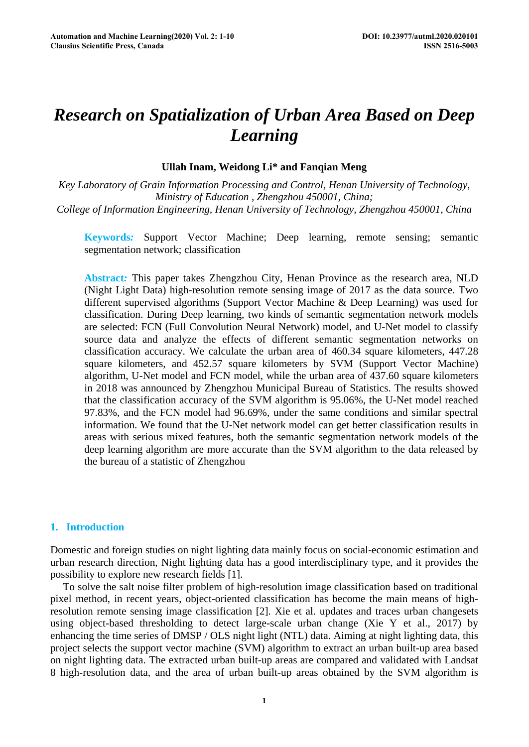# *Research on Spatialization of Urban Area Based on Deep Learning*

# **Ullah Inam, Weidong Li\* and Fanqian Meng**

*Key Laboratory of Grain Information Processing and Control, Henan University of Technology, Ministry of Education , Zhengzhou 450001, China; College of Information Engineering, Henan University of Technology, Zhengzhou 450001, China* 

**Keywords***:* Support Vector Machine; Deep learning, remote sensing; semantic segmentation network; classification

**Abstract***:* This paper takes Zhengzhou City, Henan Province as the research area, NLD (Night Light Data) high-resolution remote sensing image of 2017 as the data source. Two different supervised algorithms (Support Vector Machine & Deep Learning) was used for classification. During Deep learning, two kinds of semantic segmentation network models are selected: FCN (Full Convolution Neural Network) model, and U-Net model to classify source data and analyze the effects of different semantic segmentation networks on classification accuracy. We calculate the urban area of 460.34 square kilometers, 447.28 square kilometers, and 452.57 square kilometers by SVM (Support Vector Machine) algorithm, U-Net model and FCN model, while the urban area of 437.60 square kilometers in 2018 was announced by Zhengzhou Municipal Bureau of Statistics. The results showed that the classification accuracy of the SVM algorithm is 95.06%, the U-Net model reached 97.83%, and the FCN model had 96.69%, under the same conditions and similar spectral information. We found that the U-Net network model can get better classification results in areas with serious mixed features, both the semantic segmentation network models of the deep learning algorithm are more accurate than the SVM algorithm to the data released by the bureau of a statistic of Zhengzhou

# **1. Introduction**

Domestic and foreign studies on night lighting data mainly focus on social-economic estimation and urban research direction, Night lighting data has a good interdisciplinary type, and it provides the possibility to explore new research fields [1].

To solve the salt noise filter problem of high-resolution image classification based on traditional pixel method, in recent years, object-oriented classification has become the main means of highresolution remote sensing image classification [2]. Xie et al. updates and traces urban changesets using object-based thresholding to detect large-scale urban change (Xie Y et al., 2017) by enhancing the time series of DMSP / OLS night light (NTL) data. Aiming at night lighting data, this project selects the support vector machine (SVM) algorithm to extract an urban built-up area based on night lighting data. The extracted urban built-up areas are compared and validated with Landsat 8 high-resolution data, and the area of urban built-up areas obtained by the SVM algorithm is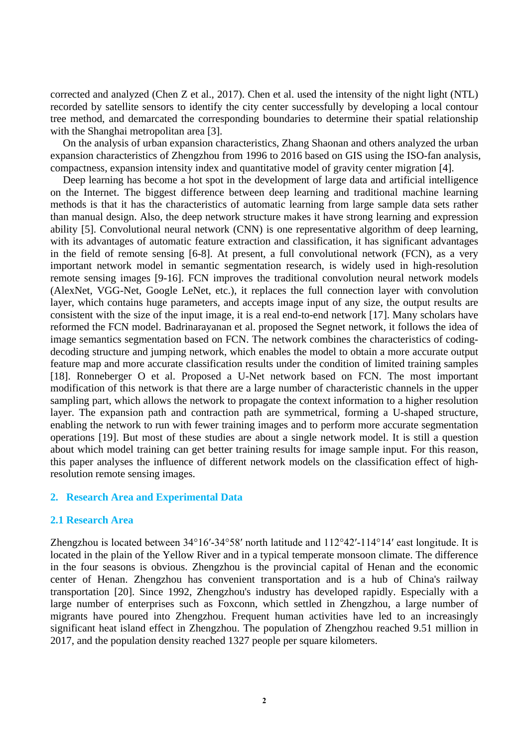corrected and analyzed (Chen Z et al., 2017). Chen et al. used the intensity of the night light (NTL) recorded by satellite sensors to identify the city center successfully by developing a local contour tree method, and demarcated the corresponding boundaries to determine their spatial relationship with the Shanghai metropolitan area [3].

On the analysis of urban expansion characteristics, Zhang Shaonan and others analyzed the urban expansion characteristics of Zhengzhou from 1996 to 2016 based on GIS using the ISO-fan analysis, compactness, expansion intensity index and quantitative model of gravity center migration [4].

Deep learning has become a hot spot in the development of large data and artificial intelligence on the Internet. The biggest difference between deep learning and traditional machine learning methods is that it has the characteristics of automatic learning from large sample data sets rather than manual design. Also, the deep network structure makes it have strong learning and expression ability [5]. Convolutional neural network (CNN) is one representative algorithm of deep learning, with its advantages of automatic feature extraction and classification, it has significant advantages in the field of remote sensing [6-8]. At present, a full convolutional network (FCN), as a very important network model in semantic segmentation research, is widely used in high-resolution remote sensing images [9-16]. FCN improves the traditional convolution neural network models (AlexNet, VGG-Net, Google LeNet, etc.), it replaces the full connection layer with convolution layer, which contains huge parameters, and accepts image input of any size, the output results are consistent with the size of the input image, it is a real end-to-end network [17]. Many scholars have reformed the FCN model. Badrinarayanan et al. proposed the Segnet network, it follows the idea of image semantics segmentation based on FCN. The network combines the characteristics of codingdecoding structure and jumping network, which enables the model to obtain a more accurate output feature map and more accurate classification results under the condition of limited training samples [18]. Ronneberger O et al. Proposed a U-Net network based on FCN. The most important modification of this network is that there are a large number of characteristic channels in the upper sampling part, which allows the network to propagate the context information to a higher resolution layer. The expansion path and contraction path are symmetrical, forming a U-shaped structure, enabling the network to run with fewer training images and to perform more accurate segmentation operations [19]. But most of these studies are about a single network model. It is still a question about which model training can get better training results for image sample input. For this reason, this paper analyses the influence of different network models on the classification effect of highresolution remote sensing images.

## **2. Research Area and Experimental Data**

## **2.1 Research Area**

Zhengzhou is located between 34°16′-34°58′ north latitude and 112°42′-114°14′ east longitude. It is located in the plain of the Yellow River and in a typical temperate monsoon climate. The difference in the four seasons is obvious. Zhengzhou is the provincial capital of Henan and the economic center of Henan. Zhengzhou has convenient transportation and is a hub of China's railway transportation [20]. Since 1992, Zhengzhou's industry has developed rapidly. Especially with a large number of enterprises such as Foxconn, which settled in Zhengzhou, a large number of migrants have poured into Zhengzhou. Frequent human activities have led to an increasingly significant heat island effect in Zhengzhou. The population of Zhengzhou reached 9.51 million in 2017, and the population density reached 1327 people per square kilometers.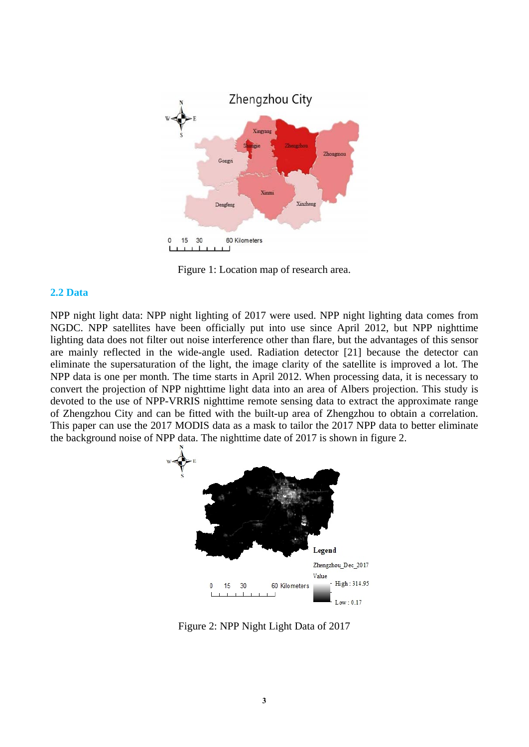

Figure 1: Location map of research area.

## **2.2 Data**

NPP night light data: NPP night lighting of 2017 were used. NPP night lighting data comes from NGDC. NPP satellites have been officially put into use since April 2012, but NPP nighttime lighting data does not filter out noise interference other than flare, but the advantages of this sensor are mainly reflected in the wide-angle used. Radiation detector [21] because the detector can eliminate the supersaturation of the light, the image clarity of the satellite is improved a lot. The NPP data is one per month. The time starts in April 2012. When processing data, it is necessary to convert the projection of NPP nighttime light data into an area of Albers projection. This study is devoted to the use of NPP-VRRIS nighttime remote sensing data to extract the approximate range of Zhengzhou City and can be fitted with the built-up area of Zhengzhou to obtain a correlation. This paper can use the 2017 MODIS data as a mask to tailor the 2017 NPP data to better eliminate the background noise of NPP data. The nighttime date of 2017 is shown in figure 2.



Figure 2: NPP Night Light Data of 2017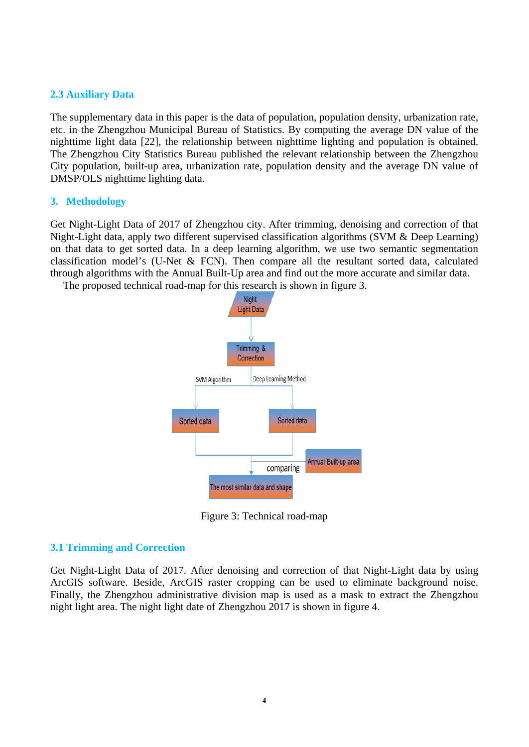# **2.3 Auxiliary Data**

The supplementary data in this paper is the data of population, population density, urbanization rate, etc. in the Zhengzhou Municipal Bureau of Statistics. By computing the average DN value of the nighttime light data [22], the relationship between nighttime lighting and population is obtained. The Zhengzhou City Statistics Bureau published the relevant relationship between the Zhengzhou City population, built-up area, urbanization rate, population density and the average DN value of DMSP/OLS nighttime lighting data.

# **3. Methodology**

Get Night-Light Data of 2017 of Zhengzhou city. After trimming, denoising and correction of that Night-Light data, apply two different supervised classification algorithms (SVM & Deep Learning) on that data to get sorted data. In a deep learning algorithm, we use two semantic segmentation classification model's (U-Net & FCN). Then compare all the resultant sorted data, calculated through algorithms with the Annual Built-Up area and find out the more accurate and similar data.

The proposed technical road-map for this research is shown in figure 3.



Figure 3: Technical road-map

# **3.1 Trimming and Correction**

Get Night-Light Data of 2017. After denoising and correction of that Night-Light data by using ArcGIS software. Beside, ArcGIS raster cropping can be used to eliminate background noise. Finally, the Zhengzhou administrative division map is used as a mask to extract the Zhengzhou night light area. The night light date of Zhengzhou 2017 is shown in figure 4.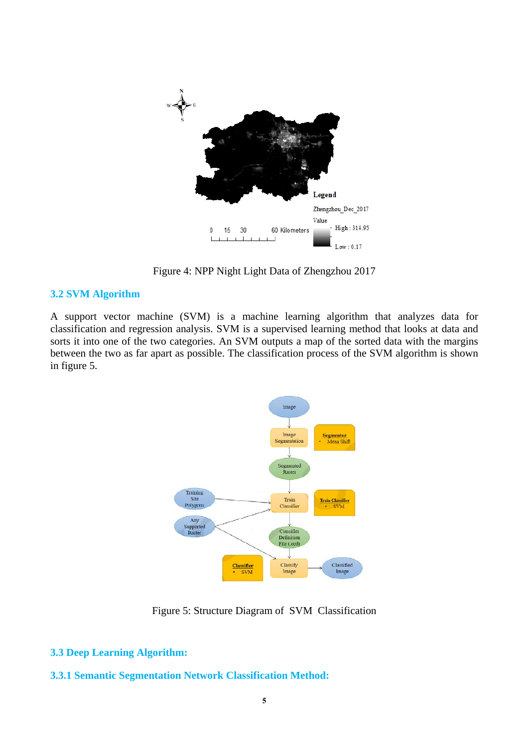

Figure 4: NPP Night Light Data of Zhengzhou 2017

# **3.2 SVM Algorithm**

A support vector machine (SVM) is a machine learning algorithm that analyzes data for classification and regression analysis. SVM is a supervised learning method that looks at data and sorts it into one of the two categories. An SVM outputs a map of the sorted data with the margins between the two as far apart as possible. The classification process of the SVM algorithm is shown in figure 5.



Figure 5: Structure Diagram of SVM Classification

# **3.3 Deep Learning Algorithm:**

# **3.3.1 Semantic Segmentation Network Classification Method:**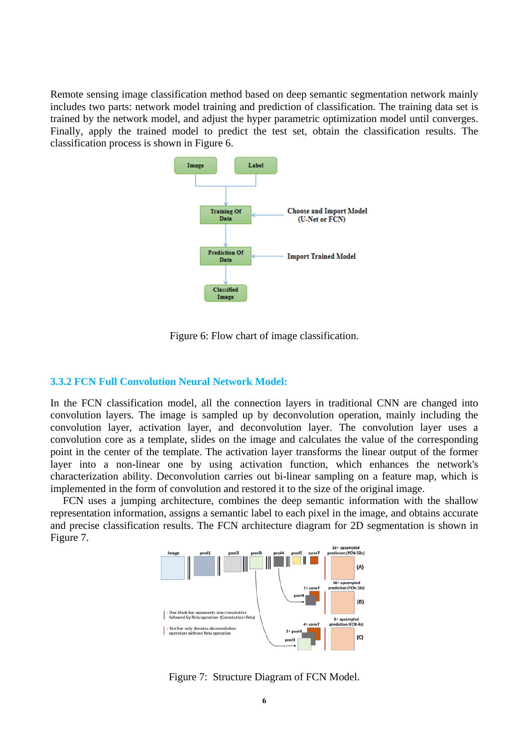Remote sensing image classification method based on deep semantic segmentation network mainly includes two parts: network model training and prediction of classification. The training data set is trained by the network model, and adjust the hyper parametric optimization model until converges. Finally, apply the trained model to predict the test set, obtain the classification results. The classification process is shown in Figure 6.



Figure 6: Flow chart of image classification.

# **3.3.2 FCN Full Convolution Neural Network Model:**

In the FCN classification model, all the connection layers in traditional CNN are changed into convolution layers. The image is sampled up by deconvolution operation, mainly including the convolution layer, activation layer, and deconvolution layer. The convolution layer uses a convolution core as a template, slides on the image and calculates the value of the corresponding point in the center of the template. The activation layer transforms the linear output of the former layer into a non-linear one by using activation function, which enhances the network's characterization ability. Deconvolution carries out bi-linear sampling on a feature map, which is implemented in the form of convolution and restored it to the size of the original image.

FCN uses a jumping architecture, combines the deep semantic information with the shallow representation information, assigns a semantic label to each pixel in the image, and obtains accurate and precise classification results. The FCN architecture diagram for 2D segmentation is shown in Figure 7.



Figure 7: Structure Diagram of FCN Model.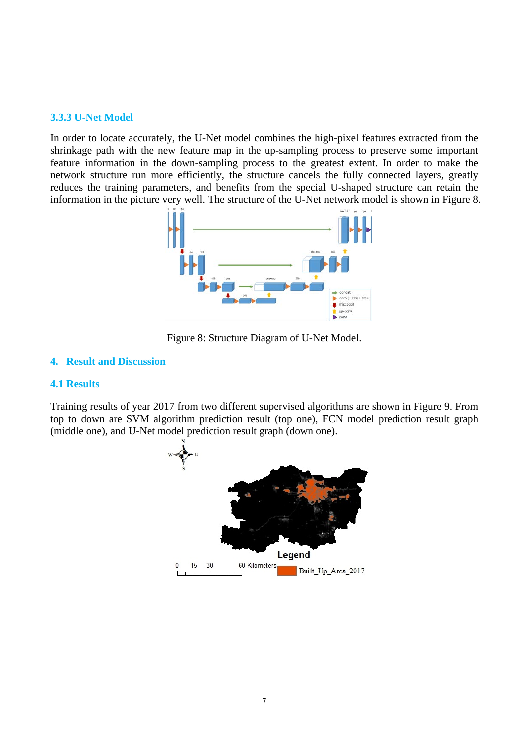# **3.3.3 U-Net Model**

In order to locate accurately, the U-Net model combines the high-pixel features extracted from the shrinkage path with the new feature map in the up-sampling process to preserve some important feature information in the down-sampling process to the greatest extent. In order to make the network structure run more efficiently, the structure cancels the fully connected layers, greatly reduces the training parameters, and benefits from the special U-shaped structure can retain the information in the picture very well. The structure of the U-Net network model is shown in Figure 8.



Figure 8: Structure Diagram of U-Net Model.

# **4. Result and Discussion**

# **4.1 Results**

Training results of year 2017 from two different supervised algorithms are shown in Figure 9. From top to down are SVM algorithm prediction result (top one), FCN model prediction result graph (middle one), and U-Net model prediction result graph (down one).

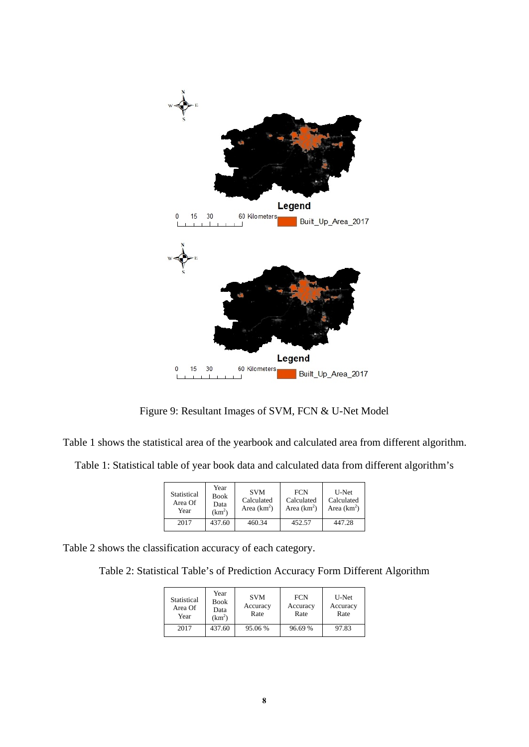

Figure 9: Resultant Images of SVM, FCN & U-Net Model

Table 1 shows the statistical area of the yearbook and calculated area from different algorithm.

Table 1: Statistical table of year book data and calculated data from different algorithm's

| Statistical<br>Area Of<br>Year | Year<br><b>Book</b><br>Data<br>(km <sup>2</sup> ) | <b>SVM</b><br>Calculated<br>Area $(km^2)$ | <b>FCN</b><br>Calculated<br>Area $(km^2)$ | U-Net<br>Calculated<br>Area $(km^2)$ |
|--------------------------------|---------------------------------------------------|-------------------------------------------|-------------------------------------------|--------------------------------------|
| 2017                           | 437.60                                            | 460.34                                    | 452.57                                    | 447.28                               |

Table 2 shows the classification accuracy of each category.

Table 2: Statistical Table's of Prediction Accuracy Form Different Algorithm

| Statistical<br>Area Of<br>Year | Year<br><b>Book</b><br>Data<br>(km <sup>2</sup> ) | <b>SVM</b><br>Accuracy<br>Rate | <b>FCN</b><br>Accuracy<br>Rate | U-Net<br>Accuracy<br>Rate |
|--------------------------------|---------------------------------------------------|--------------------------------|--------------------------------|---------------------------|
| 2017                           | 437.60                                            | 95.06 %                        | 96.69 %                        | 97.83                     |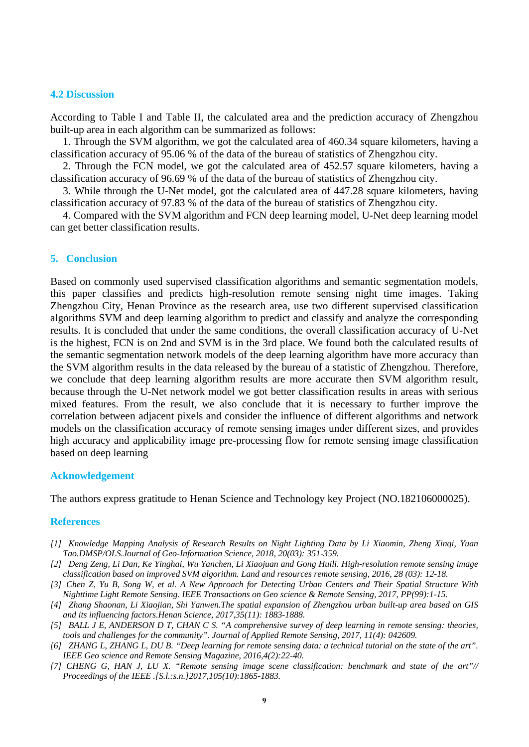#### **4.2 Discussion**

According to Table I and Table II, the calculated area and the prediction accuracy of Zhengzhou built-up area in each algorithm can be summarized as follows:

1. Through the SVM algorithm, we got the calculated area of 460.34 square kilometers, having a classification accuracy of 95.06 % of the data of the bureau of statistics of Zhengzhou city.

2. Through the FCN model, we got the calculated area of 452.57 square kilometers, having a classification accuracy of 96.69 % of the data of the bureau of statistics of Zhengzhou city.

3. While through the U-Net model, got the calculated area of 447.28 square kilometers, having classification accuracy of 97.83 % of the data of the bureau of statistics of Zhengzhou city.

4. Compared with the SVM algorithm and FCN deep learning model, U-Net deep learning model can get better classification results.

### **5. Conclusion**

Based on commonly used supervised classification algorithms and semantic segmentation models, this paper classifies and predicts high-resolution remote sensing night time images. Taking Zhengzhou City, Henan Province as the research area, use two different supervised classification algorithms SVM and deep learning algorithm to predict and classify and analyze the corresponding results. It is concluded that under the same conditions, the overall classification accuracy of U-Net is the highest, FCN is on 2nd and SVM is in the 3rd place. We found both the calculated results of the semantic segmentation network models of the deep learning algorithm have more accuracy than the SVM algorithm results in the data released by the bureau of a statistic of Zhengzhou. Therefore, we conclude that deep learning algorithm results are more accurate then SVM algorithm result, because through the U-Net network model we got better classification results in areas with serious mixed features. From the result, we also conclude that it is necessary to further improve the correlation between adjacent pixels and consider the influence of different algorithms and network models on the classification accuracy of remote sensing images under different sizes, and provides high accuracy and applicability image pre-processing flow for remote sensing image classification based on deep learning

#### **Acknowledgement**

The authors express gratitude to Henan Science and Technology key Project (NO.182106000025).

#### **References**

- *[1] Knowledge Mapping Analysis of Research Results on Night Lighting Data by Li Xiaomin, Zheng Xinqi, Yuan Tao.DMSP/OLS.Journal of Geo-Information Science, 2018, 20(03): 351-359.*
- *[2] Deng Zeng, Li Dan, Ke Yinghai, Wu Yanchen, Li Xiaojuan and Gong Huili. High-resolution remote sensing image classification based on improved SVM algorithm. Land and resources remote sensing, 2016, 28 (03): 12-18.*
- *[3] Chen Z, Yu B, Song W, et al. A New Approach for Detecting Urban Centers and Their Spatial Structure With Nighttime Light Remote Sensing. IEEE Transactions on Geo science & Remote Sensing, 2017, PP(99):1-15.*
- *[4] Zhang Shaonan, Li Xiaojian, Shi Yanwen.The spatial expansion of Zhengzhou urban built-up area based on GIS and its influencing factors.Henan Science, 2017,35(11): 1883-1888.*
- *[5] BALL J E, ANDERSON D T, CHAN C S. "A comprehensive survey of deep learning in remote sensing: theories, tools and challenges for the community". Journal of Applied Remote Sensing, 2017, 11(4): 042609.*
- *[6] ZHANG L, ZHANG L, DU B. "Deep learning for remote sensing data: a technical tutorial on the state of the art". IEEE Geo science and Remote Sensing Magazine, 2016,4(2):22-40.*
- *[7] CHENG G, HAN J, LU X. "Remote sensing image scene classification: benchmark and state of the art"// Proceedings of the IEEE .[S.l.:s.n.]2017,105(10):1865-1883.*